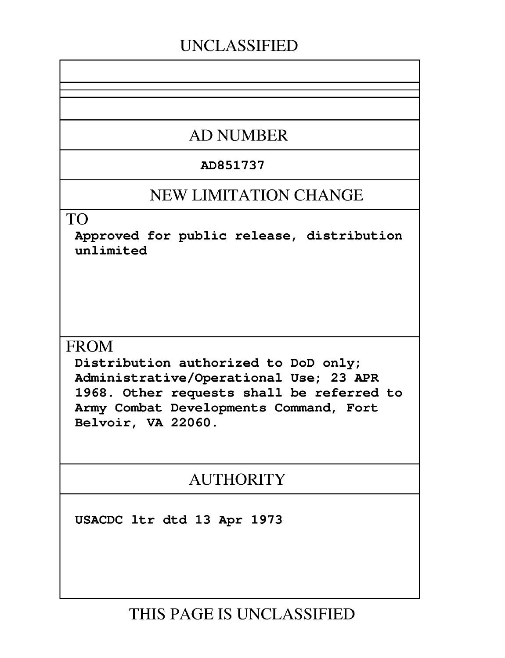## **UNCLASSIFIED**

# **AD NUMBER**

#### **AD851737**

## **NEW LIMITATION CHANGE**

TO

Approved for public release, distribution unlimited

### **FROM**

Distribution authorized to DoD only; Administrative/Operational Use; **23** APR **1968.** Other requests shall be referred to Army Combat Developments Command, Fort Belvoir, VA **22060.**

# **AUTHORITY**

**USACDC** ltr dtd **13** Apr **1973**

**THIS PAGE IS UNCLASSIFIED**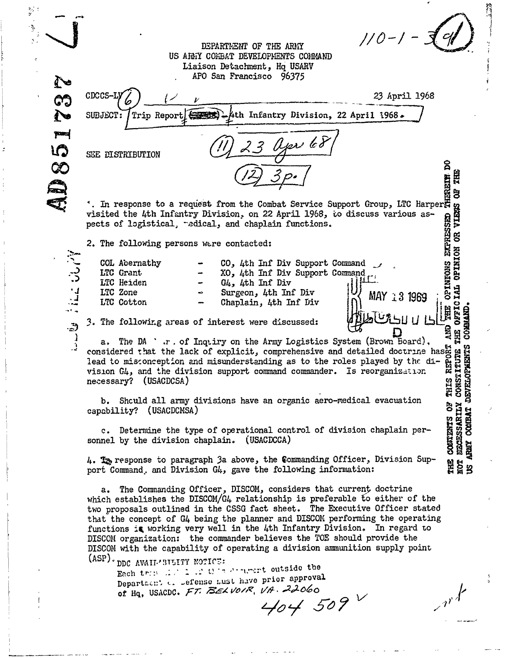DSPARTNEWT OF THE ARMY  $\frac{1}{0}$ **US AldIi CO -BAT DEVELOPENTS COI.04AND** Liaison Detac!hment, **Hq USARV APO** San Francisco 96375  $G_3$   $^{CDCCS-Ly}$   $\left(\frac{1}{2}\right)$   $\frac{1}{y}$   $\frac{1}{y}$   $\frac{1}{z}$   $\frac{23 \text{ April } 1968}{z}$ SUBJECT: Trip Report (1968) - Ath Infantry Division, 22 April 1968. **pare** LO **%OS~E** DISTRIBUTION **00** ~i  $^*$ . In response to a request from the Combat Service Support Group, LTC Harper $\overline{\mathbb{R}}$ visited the 4th Infantry Division. on 22 April **1968,** to discuss various as- A visited the 4th Infantry Division, on 22 April 1968, to discuss various as-<br>pects of logistical, redical, and chaplain functions.<br>
2. The following persons were contacted:<br>  $\begin{array}{rcl}\n\text{COL} & \text{Abernathy} & - & \text{CO} & \text{4th}$ pects of logistical, -edical, and chaplain functions. COL Abernathy - **CO**, 4th Inf Div Support Command<br>
ITC Grant - **XO**, 4th Inf Div Support Command<br>
ITC Heiden - **G***u*<sub>3</sub>, 4th Inf Div<br>
LTC Zone - Surgeon, 4th Inf Div<br>
LTC Cotton - Chaplain, 4th Inf Div<br>
- Chaplain, 4th In **LTC Grant -**  $XO$ **, 4th Inf Div Support Command LTC Heiden - G4, 4th Inf Div**  $\begin{bmatrix} 1 \end{bmatrix}$ **OFFICIAL** 1 IC Zone  $\sim$  Surgeon, 4th Inf Div  $\sim$  MAY 1 3 1969 Chaplain, 4th Inf Div H COMMAND 3. The following areas of interest were discussed: AUD<sup>'</sup> THE a. The DA ' r. of Inqtiry on the Army Logistics System (Brown Board), a. The DA are of explicitly on the Army Logistics System (Brown Board),<br>
considered that the lack of explicit, comprehensive and detailed doctrine hasps are<br>
lead to misonception and misunderstanding as to the roles played lead to misconception and misunderstanding as to the roles played by the division  $G4$ , and the division support command commander. Is reorganization necessary? (USACDCSA) b. Shculd all army divisions have an organic aero-medical evacuation c. Determine the type of operational control of division chaplain per-<br>nel by the division chaplain. (USACDCCA)<br>The second of division chaplain per-<br>nel by the division chaplain. (USACDCCA)<br>The second is a second in the fo capability? (USACDCMSA) sornel by the division chaplain. (USACDCCA) ARMY 4. 1z, response to paragraph 3a above, the Commanding Officer, Division Sup-ម្ពុ<br>ម្ពុជ្ជ<br>ម្ពុ port Command, and Division G4, gave the following information: a. The Commanding Officer, DISCOM, considers that current doctrine which establishes the DISCOM/G4 relationship is preferable to either of the two proposals outlined in the CSSG fact sheet. The Executive Officer stated that the concept of G4 being the planner and DISCOM performing the operating functions is working very well in the 4th Infantry Division. In regard to DISCOM organization: the commander believes the TOE should provide the DISCON with the capability of operating a division anmunition supply point (ASP) · DDC AVAII · 3TLITY NOTICE: Each trin .1. 2 .2 this convert outside the Department of sefense must have prior approval **of** Hq, USACDC. **<sup>F</sup> , ' //.** *1 .2,26.o'*

 $\frac{1}{2}$